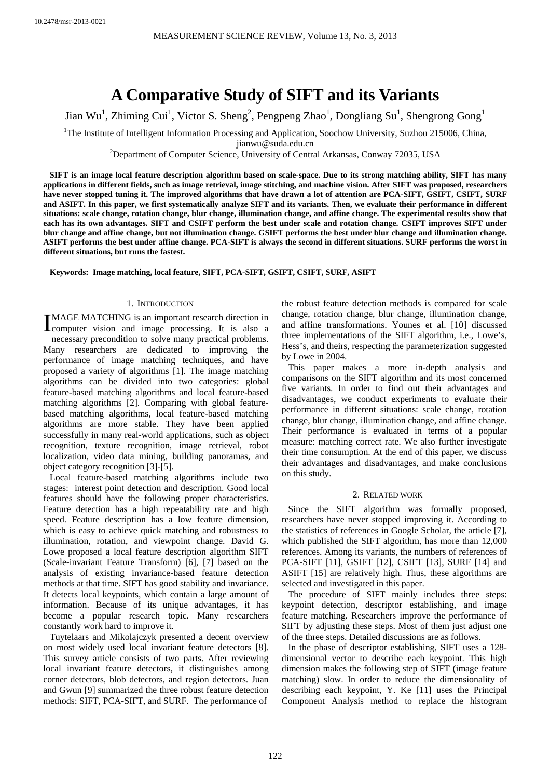# **A Comparative Study of SIFT and its Variants**

Jian Wu<sup>1</sup>, Zhiming Cui<sup>1</sup>, Victor S. Sheng<sup>2</sup>, Pengpeng Zhao<sup>1</sup>, Dongliang Su<sup>1</sup>, Shengrong Gong<sup>1</sup>

<sup>1</sup>The Institute of Intelligent Information Processing and Application, Soochow University, Suzhou 215006, China,

jianwu@suda.edu.cn<br><sup>2</sup>Department of Computer Science, University of Central Arkansas, Conway 72035, USA

**SIFT is an image local feature description algorithm based on scale-space. Due to its strong matching ability, SIFT has many applications in different fields, such as image retrieval, image stitching, and machine vision. After SIFT was proposed, researchers have never stopped tuning it. The improved algorithms that have drawn a lot of attention are PCA-SIFT, GSIFT, CSIFT, SURF and ASIFT. In this paper, we first systematically analyze SIFT and its variants. Then, we evaluate their performance in different situations: scale change, rotation change, blur change, illumination change, and affine change. The experimental results show that each has its own advantages. SIFT and CSIFT perform the best under scale and rotation change. CSIFT improves SIFT under blur change and affine change, but not illumination change. GSIFT performs the best under blur change and illumination change. ASIFT performs the best under affine change. PCA-SIFT is always the second in different situations. SURF performs the worst in different situations, but runs the fastest.** 

**Keywords: Image matching, local feature, SIFT, PCA-SIFT, GSIFT, CSIFT, SURF, ASIFT** 

# 1. INTRODUCTION

MAGE MATCHING is an important research direction in IMAGE MATCHING is an important research direction in<br>
computer vision and image processing. It is also a necessary precondition to solve many practical problems. Many researchers are dedicated to improving the performance of image matching techniques, and have proposed a variety of algorithms [1]. The image matching algorithms can be divided into two categories: global feature-based matching algorithms and local feature-based matching algorithms [2]. Comparing with global featurebased matching algorithms, local feature-based matching algorithms are more stable. They have been applied successfully in many real-world applications, such as object recognition, texture recognition, image retrieval, robot localization, video data mining, building panoramas, and object category recognition [3]-[5].

Local feature-based matching algorithms include two stages: interest point detection and description. Good local features should have the following proper characteristics. Feature detection has a high repeatability rate and high speed. Feature description has a low feature dimension, which is easy to achieve quick matching and robustness to illumination, rotation, and viewpoint change. David G. Lowe proposed a local feature description algorithm SIFT (Scale-invariant Feature Transform) [6], [7] based on the analysis of existing invariance-based feature detection methods at that time. SIFT has good stability and invariance. It detects local keypoints, which contain a large amount of information. Because of its unique advantages, it has become a popular research topic. Many researchers constantly work hard to improve it.

Tuytelaars and Mikolajczyk presented a decent overview on most widely used local invariant feature detectors [8]. This survey article consists of two parts. After reviewing local invariant feature detectors, it distinguishes among corner detectors, blob detectors, and region detectors. Juan and Gwun [9] summarized the three robust feature detection methods: SIFT, PCA-SIFT, and SURF. The performance of the robust feature detection methods is compared for scale change, rotation change, blur change, illumination change, and affine transformations. Younes et al. [10] discussed three implementations of the SIFT algorithm, i.e., Lowe's, Hess's, and theirs, respecting the parameterization suggested by Lowe in 2004.

This paper makes a more in-depth analysis and comparisons on the SIFT algorithm and its most concerned five variants. In order to find out their advantages and disadvantages, we conduct experiments to evaluate their performance in different situations: scale change, rotation change, blur change, illumination change, and affine change. Their performance is evaluated in terms of a popular measure: matching correct rate. We also further investigate their time consumption. At the end of this paper, we discuss their advantages and disadvantages, and make conclusions on this study.

#### 2. RELATED WORK

Since the SIFT algorithm was formally proposed, researchers have never stopped improving it. According to the statistics of references in Google Scholar, the article [7], which published the SIFT algorithm, has more than 12,000 references. Among its variants, the numbers of references of PCA-SIFT [11], GSIFT [12], CSIFT [13], SURF [14] and ASIFT [15] are relatively high. Thus, these algorithms are selected and investigated in this paper.

The procedure of SIFT mainly includes three steps: keypoint detection, descriptor establishing, and image feature matching. Researchers improve the performance of SIFT by adjusting these steps. Most of them just adjust one of the three steps. Detailed discussions are as follows.

In the phase of descriptor establishing, SIFT uses a 128 dimensional vector to describe each keypoint. This high dimension makes the following step of SIFT (image feature matching) slow. In order to reduce the dimensionality of describing each keypoint, Y. Ke [11] uses the Principal Component Analysis method to replace the histogram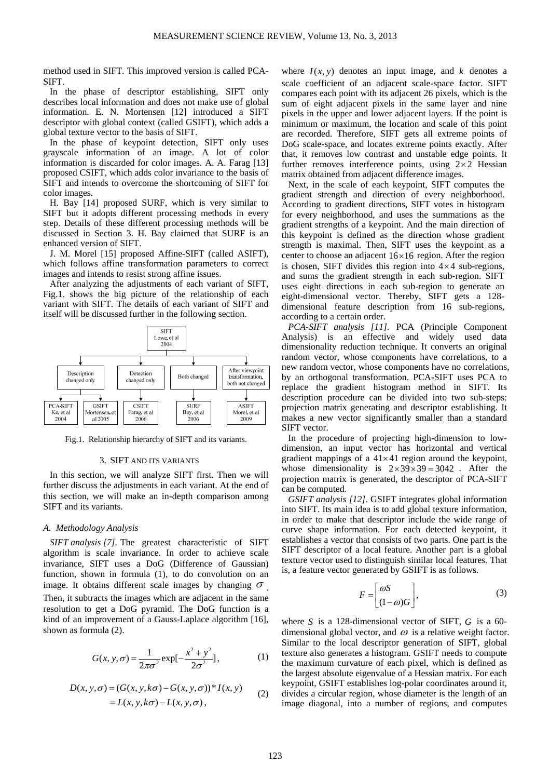method used in SIFT. This improved version is called PCA-SIFT.

In the phase of descriptor establishing, SIFT only describes local information and does not make use of global information. E. N. Mortensen [12] introduced a SIFT descriptor with global context (called GSIFT), which adds a global texture vector to the basis of SIFT.

In the phase of keypoint detection, SIFT only uses grayscale information of an image. A lot of color information is discarded for color images. A. A. Farag [13] proposed CSIFT, which adds color invariance to the basis of SIFT and intends to overcome the shortcoming of SIFT for color images.

H. Bay [14] proposed SURF, which is very similar to SIFT but it adopts different processing methods in every step. Details of these different processing methods will be discussed in Section 3. H. Bay claimed that SURF is an enhanced version of SIFT.

J. M. Morel [15] proposed Affine-SIFT (called ASIFT), which follows affine transformation parameters to correct images and intends to resist strong affine issues.

After analyzing the adjustments of each variant of SIFT, Fig.1. shows the big picture of the relationship of each variant with SIFT. The details of each variant of SIFT and itself will be discussed further in the following section.



Fig.1. Relationship hierarchy of SIFT and its variants.

# 3. SIFT AND ITS VARIANTS

In this section, we will analyze SIFT first. Then we will further discuss the adjustments in each variant. At the end of this section, we will make an in-depth comparison among SIFT and its variants.

#### *A. Methodology Analysis*

*SIFT analysis [7].* The greatest characteristic of SIFT algorithm is scale invariance. In order to achieve scale invariance, SIFT uses a DoG (Difference of Gaussian) function, shown in formula (1), to do convolution on an image. It obtains different scale images by changing  $\sigma$ Then, it subtracts the images which are adjacent in the same resolution to get a DoG pyramid. The DoG function is a kind of an improvement of a Gauss-Laplace algorithm [16], shown as formula (2).

$$
G(x, y, \sigma) = \frac{1}{2\pi\sigma^2} \exp[-\frac{x^2 + y^2}{2\sigma^2}],
$$
 (1)

$$
D(x, y, \sigma) = (G(x, y, k\sigma) - G(x, y, \sigma))^* I(x, y)
$$
  
=  $L(x, y, k\sigma) - L(x, y, \sigma)$ , (2)

where  $I(x, y)$  denotes an input image, and *k* denotes a scale coefficient of an adjacent scale-space factor. SIFT compares each point with its adjacent 26 pixels, which is the sum of eight adjacent pixels in the same layer and nine pixels in the upper and lower adjacent layers. If the point is minimum or maximum, the location and scale of this point are recorded. Therefore, SIFT gets all extreme points of DoG scale-space, and locates extreme points exactly. After that, it removes low contrast and unstable edge points. It further removes interference points, using  $2 \times 2$  Hessian matrix obtained from adjacent difference images.

Next, in the scale of each keypoint, SIFT computes the gradient strength and direction of every neighborhood. According to gradient directions, SIFT votes in histogram for every neighborhood, and uses the summations as the gradient strengths of a keypoint. And the main direction of this keypoint is defined as the direction whose gradient strength is maximal. Then, SIFT uses the keypoint as a center to choose an adjacent  $16 \times 16$  region. After the region is chosen, SIFT divides this region into  $4 \times 4$  sub-regions, and sums the gradient strength in each sub-region. SIFT uses eight directions in each sub-region to generate an eight-dimensional vector. Thereby, SIFT gets a 128 dimensional feature description from 16 sub-regions, according to a certain order.

*PCA-SIFT analysis [11].* PCA (Principle Component Analysis) is an effective and widely used data dimensionality reduction technique. It converts an original random vector, whose components have correlations, to a new random vector, whose components have no correlations, by an orthogonal transformation. PCA-SIFT uses PCA to replace the gradient histogram method in SIFT. Its description procedure can be divided into two sub-steps: projection matrix generating and descriptor establishing. It makes a new vector significantly smaller than a standard SIFT vector.

In the procedure of projecting high-dimension to lowdimension, an input vector has horizontal and vertical gradient mappings of a  $41 \times 41$  region around the keypoint, whose dimensionality is  $2 \times 39 \times 39 = 3042$ . After the projection matrix is generated, the descriptor of PCA-SIFT can be computed.

*GSIFT analysis [12]*. GSIFT integrates global information into SIFT. Its main idea is to add global texture information, in order to make that descriptor include the wide range of curve shape information. For each detected keypoint, it establishes a vector that consists of two parts. One part is the SIFT descriptor of a local feature. Another part is a global texture vector used to distinguish similar local features. That is, a feature vector generated by GSIFT is as follows.

$$
F = \begin{bmatrix} \omega S \\ (1 - \omega)G \end{bmatrix},\tag{3}
$$

where *S* is a 128-dimensional vector of SIFT, *G* is a 60 dimensional global vector, and  $\omega$  is a relative weight factor. Similar to the local descriptor generation of SIFT, global texture also generates a histogram. GSIFT needs to compute the maximum curvature of each pixel, which is defined as the largest absolute eigenvalue of a Hessian matrix. For each keypoint, GSIFT establishes log-polar coordinates around it, divides a circular region, whose diameter is the length of an image diagonal, into a number of regions, and computes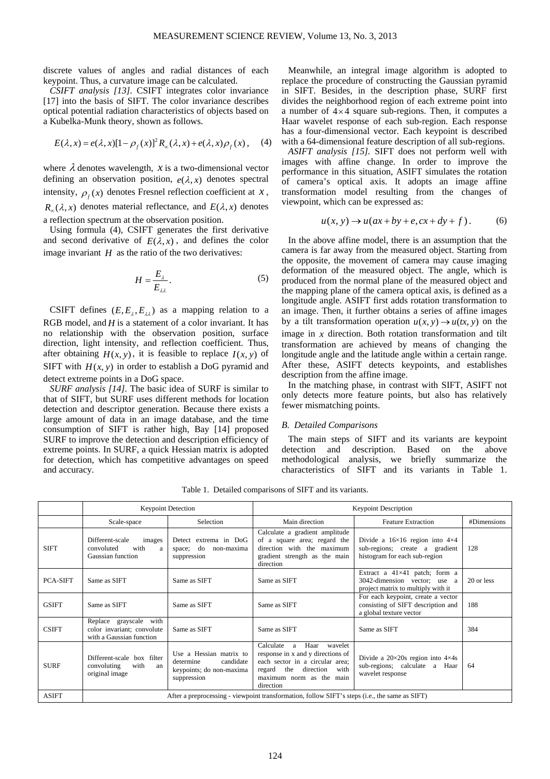discrete values of angles and radial distances of each keypoint. Thus, a curvature image can be calculated.

*CSIFT analysis [13].* CSIFT integrates color invariance [17] into the basis of SIFT. The color invariance describes optical potential radiation characteristics of objects based on a Kubelka-Munk theory, shown as follows.

$$
E(\lambda, x) = e(\lambda, x)[1 - \rho_f(x)]^2 R_\infty(\lambda, x) + e(\lambda, x)\rho_f(x), \quad (4)
$$

where  $\lambda$  denotes wavelength,  $\chi$  is a two-dimensional vector defining an observation position,  $e(\lambda, x)$  denotes spectral intensity,  $\rho_f(x)$  denotes Fresnel reflection coefficient at *x*,  $R_{\alpha}(\lambda, x)$  denotes material reflectance, and  $E(\lambda, x)$  denotes a reflection spectrum at the observation position.

Using formula (4), CSIFT generates the first derivative and second derivative of  $E(\lambda, x)$ , and defines the color image invariant  $H$  as the ratio of the two derivatives:

$$
H = \frac{E_{\lambda}}{E_{\lambda\lambda}}.\tag{5}
$$

CSIFT defines  $(E, E_{\lambda}, E_{\lambda})$  as a mapping relation to a RGB model, and *H* is a statement of a color invariant. It has no relationship with the observation position, surface direction, light intensity, and reflection coefficient. Thus, after obtaining  $H(x, y)$ , it is feasible to replace  $I(x, y)$  of SIFT with  $H(x, y)$  in order to establish a DoG pyramid and detect extreme points in a DoG space.

*SURF analysis [14].* The basic idea of SURF is similar to that of SIFT, but SURF uses different methods for location detection and descriptor generation. Because there exists a large amount of data in an image database, and the time consumption of SIFT is rather high, Bay [14] proposed SURF to improve the detection and description efficiency of extreme points. In SURF, a quick Hessian matrix is adopted for detection, which has competitive advantages on speed and accuracy.

Meanwhile, an integral image algorithm is adopted to replace the procedure of constructing the Gaussian pyramid in SIFT. Besides, in the description phase, SURF first divides the neighborhood region of each extreme point into a number of  $4 \times 4$  square sub-regions. Then, it computes a Haar wavelet response of each sub-region. Each response has a four-dimensional vector. Each keypoint is described with a 64-dimensional feature description of all sub-regions.

*ASIFT analysis [15].* SIFT does not perform well with images with affine change. In order to improve the performance in this situation, ASIFT simulates the rotation of camera's optical axis. It adopts an image affine transformation model resulting from the changes of viewpoint, which can be expressed as:

$$
u(x, y) \to u(ax + by + e, cx + dy + f).
$$
 (6)

In the above affine model, there is an assumption that the camera is far away from the measured object. Starting from the opposite, the movement of camera may cause imaging deformation of the measured object. The angle, which is produced from the normal plane of the measured object and the mapping plane of the camera optical axis, is defined as a longitude angle. ASIFT first adds rotation transformation to an image. Then, it further obtains a series of affine images by a tilt transformation operation  $u(x, y) \rightarrow u(tx, y)$  on the image in  $x$  direction. Both rotation transformation and tilt transformation are achieved by means of changing the longitude angle and the latitude angle within a certain range. After these, ASIFT detects keypoints, and establishes description from the affine image.

In the matching phase, in contrast with SIFT, ASIFT not only detects more feature points, but also has relatively fewer mismatching points.

# *B. Detailed Comparisons*

The main steps of SIFT and its variants are keypoint detection and description. Based on the above methodological analysis, we briefly summarize the characteristics of SIFT and its variants in Table 1.

|                 | <b>Keypoint Detection</b>                                                                      |                                                                                              | <b>Keypoint Description</b>                                                                                                                                                           |                                                                                                                 |             |  |
|-----------------|------------------------------------------------------------------------------------------------|----------------------------------------------------------------------------------------------|---------------------------------------------------------------------------------------------------------------------------------------------------------------------------------------|-----------------------------------------------------------------------------------------------------------------|-------------|--|
|                 | Scale-space                                                                                    | Selection                                                                                    | Main direction                                                                                                                                                                        | <b>Feature Extraction</b>                                                                                       | #Dimensions |  |
| <b>SIFT</b>     | Different-scale<br>images<br>convoluted<br>with<br>a<br>Gaussian function                      | Detect extrema in DoG<br>do<br>non-maxima<br>space;<br>suppression                           | Calculate a gradient amplitude<br>of a square area; regard the<br>direction with the maximum<br>gradient strength as the main<br>direction                                            | Divide a $16\times16$ region into $4\times4$<br>sub-regions; create a gradient<br>histogram for each sub-region | 128         |  |
| <b>PCA-SIFT</b> | Same as SIFT                                                                                   | Same as SIFT                                                                                 | Same as SIFT                                                                                                                                                                          | Extract a $41\times41$ patch; form a<br>3042-dimension vector; use a<br>project matrix to multiply with it      | 20 or less  |  |
| <b>GSIFT</b>    | Same as SIFT                                                                                   | Same as SIFT                                                                                 | Same as SIFT                                                                                                                                                                          | For each keypoint, create a vector<br>consisting of SIFT description and<br>a global texture vector             | 188         |  |
| <b>CSIFT</b>    | Replace grayscale with<br>color invariant; convolute<br>with a Gaussian function               | Same as SIFT                                                                                 | Same as SIFT                                                                                                                                                                          | Same as SIFT                                                                                                    | 384         |  |
| <b>SURF</b>     | Different-scale box filter<br>with<br>convoluting<br>an<br>original image                      | Use a Hessian matrix to<br>candidate<br>determine<br>keypoints; do non-maxima<br>suppression | Calculate<br>Haar<br>wavelet<br>a<br>response in x and y directions of<br>each sector in a circular area;<br>regard the<br>direction<br>with<br>maximum norm as the main<br>direction | Divide a $20\times20s$ region into $4\times4s$<br>sub-regions; calculate a Haar<br>wavelet response             | 64          |  |
| <b>ASIFT</b>    | After a preprocessing - viewpoint transformation, follow SIFT's steps (i.e., the same as SIFT) |                                                                                              |                                                                                                                                                                                       |                                                                                                                 |             |  |

Table 1. Detailed comparisons of SIFT and its variants.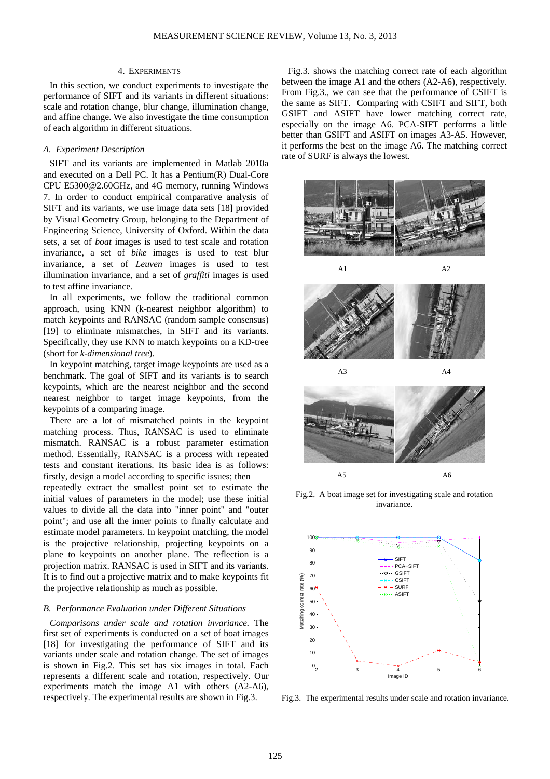### 4. EXPERIMENTS

In this section, we conduct experiments to investigate the performance of SIFT and its variants in different situations: scale and rotation change, blur change, illumination change, and affine change. We also investigate the time consumption of each algorithm in different situations.

#### *A. Experiment Description*

SIFT and its variants are implemented in Matlab 2010a and executed on a Dell PC. It has a Pentium(R) Dual-Core CPU E5300@2.60GHz, and 4G memory, running Windows 7. In order to conduct empirical comparative analysis of SIFT and its variants, we use image data sets [18] provided by Visual Geometry Group, belonging to the Department of Engineering Science, University of Oxford. Within the data sets, a set of *boat* images is used to test scale and rotation invariance, a set of *bike* images is used to test blur invariance, a set of *Leuven* images is used to test illumination invariance, and a set of *graffiti* images is used to test affine invariance.

In all experiments, we follow the traditional common approach, using KNN (k-nearest neighbor algorithm) to match keypoints and RANSAC (random sample consensus) [19] to eliminate mismatches, in SIFT and its variants. Specifically, they use KNN to match keypoints on a KD-tree (short for *k-dimensional tree*).

In keypoint matching, target image keypoints are used as a benchmark. The goal of SIFT and its variants is to search keypoints, which are the nearest neighbor and the second nearest neighbor to target image keypoints, from the keypoints of a comparing image.

There are a lot of mismatched points in the keypoint matching process. Thus, RANSAC is used to eliminate mismatch. RANSAC is a robust parameter estimation method. Essentially, RANSAC is a process with repeated tests and constant iterations. Its basic idea is as follows: firstly, design a model according to specific issues; then

repeatedly extract the smallest point set to estimate the initial values of parameters in the model; use these initial values to divide all the data into "inner point" and "outer point"; and use all the inner points to finally calculate and estimate model parameters. In keypoint matching, the model is the projective relationship, projecting keypoints on a plane to keypoints on another plane. The reflection is a projection matrix. RANSAC is used in SIFT and its variants. It is to find out a projective matrix and to make keypoints fit the projective relationship as much as possible.

#### *B. Performance Evaluation under Different Situations*

*Comparisons under scale and rotation invariance.* The first set of experiments is conducted on a set of boat images [18] for investigating the performance of SIFT and its variants under scale and rotation change. The set of images is shown in Fig.2. This set has six images in total. Each represents a different scale and rotation, respectively. Our experiments match the image A1 with others (A2-A6), respectively. The experimental results are shown in Fig.3.

Fig.3. shows the matching correct rate of each algorithm between the image A1 and the others (A2-A6), respectively. From Fig.3., we can see that the performance of CSIFT is the same as SIFT. Comparing with CSIFT and SIFT, both GSIFT and ASIFT have lower matching correct rate, especially on the image A6. PCA-SIFT performs a little better than GSIFT and ASIFT on images A3-A5. However, it performs the best on the image A6. The matching correct rate of SURF is always the lowest.



Fig.2. A boat image set for investigating scale and rotation invariance.



Fig.3. The experimental results under scale and rotation invariance.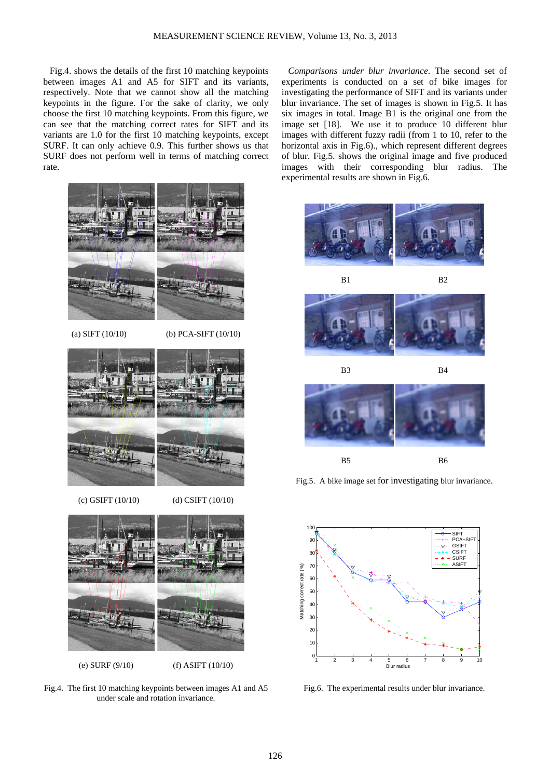Fig.4. shows the details of the first 10 matching keypoints between images A1 and A5 for SIFT and its variants, respectively. Note that we cannot show all the matching keypoints in the figure. For the sake of clarity, we only choose the first 10 matching keypoints. From this figure, we can see that the matching correct rates for SIFT and its variants are 1.0 for the first 10 matching keypoints, except SURF. It can only achieve 0.9. This further shows us that SURF does not perform well in terms of matching correct rate.



(a) SIFT  $(10/10)$  (b) PCA-SIFT  $(10/10)$ 



(c) GSIFT  $(10/10)$  (d) CSIFT  $(10/10)$ 



Fig.4. The first 10 matching keypoints between images A1 and A5 under scale and rotation invariance.

*Comparisons under blur invariance*. The second set of experiments is conducted on a set of bike images for investigating the performance of SIFT and its variants under blur invariance. The set of images is shown in Fig.5. It has six images in total. Image B1 is the original one from the image set [18]. We use it to produce 10 different blur images with different fuzzy radii (from 1 to 10, refer to the horizontal axis in Fig.6)., which represent different degrees of blur. Fig.5. shows the original image and five produced images with their corresponding blur radius. The experimental results are shown in Fig.6.



B1 B2



B3 B4







Fig.6. The experimental results under blur invariance.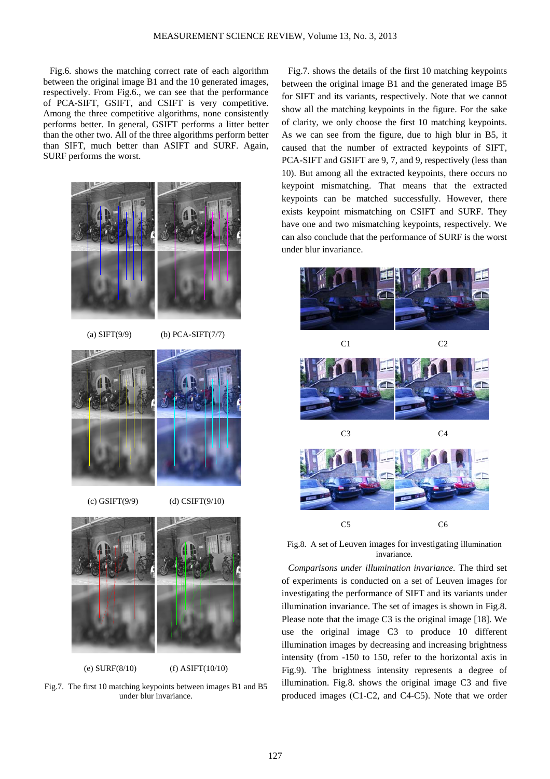Fig.6. shows the matching correct rate of each algorithm between the original image B1 and the 10 generated images, respectively. From Fig.6., we can see that the performance of PCA-SIFT, GSIFT, and CSIFT is very competitive. Among the three competitive algorithms, none consistently performs better. In general, GSIFT performs a litter better than the other two. All of the three algorithms perform better than SIFT, much better than ASIFT and SURF. Again, SURF performs the worst.



(a)  $SIFT(9/9)$  (b) PCA-SIFT(7/7)



(c) GSIFT(9/9) (d) CSIFT(9/10)



(e) SURF(8/10) (f) ASIFT(10/10)

Fig.7. The first 10 matching keypoints between images B1 and B5 under blur invariance.

Fig.7. shows the details of the first 10 matching keypoints between the original image B1 and the generated image B5 for SIFT and its variants, respectively. Note that we cannot show all the matching keypoints in the figure. For the sake of clarity, we only choose the first 10 matching keypoints. As we can see from the figure, due to high blur in B5, it caused that the number of extracted keypoints of SIFT, PCA-SIFT and GSIFT are 9, 7, and 9, respectively (less than 10). But among all the extracted keypoints, there occurs no keypoint mismatching. That means that the extracted keypoints can be matched successfully. However, there exists keypoint mismatching on CSIFT and SURF. They have one and two mismatching keypoints, respectively. We can also conclude that the performance of SURF is the worst under blur invariance.



Fig.8. A set of Leuven images for investigating illumination invariance.

*Comparisons under illumination invariance.* The third set of experiments is conducted on a set of Leuven images for investigating the performance of SIFT and its variants under illumination invariance. The set of images is shown in Fig.8. Please note that the image C3 is the original image [18]. We use the original image C3 to produce 10 different illumination images by decreasing and increasing brightness intensity (from -150 to 150, refer to the horizontal axis in Fig.9). The brightness intensity represents a degree of illumination. Fig.8. shows the original image C3 and five produced images (C1-C2, and C4-C5). Note that we order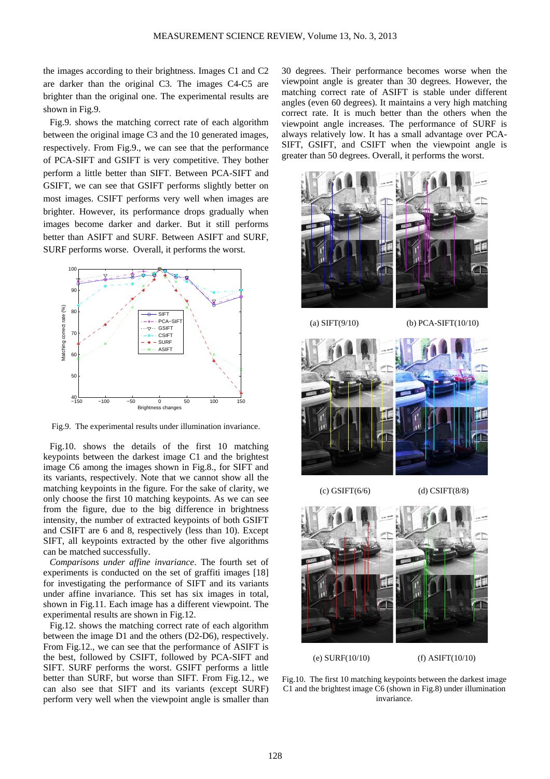the images according to their brightness. Images C1 and C2 are darker than the original C3. The images C4-C5 are brighter than the original one. The experimental results are shown in Fig.9.

Fig.9. shows the matching correct rate of each algorithm between the original image C3 and the 10 generated images, respectively. From Fig.9., we can see that the performance of PCA-SIFT and GSIFT is very competitive. They bother perform a little better than SIFT. Between PCA-SIFT and GSIFT, we can see that GSIFT performs slightly better on most images. CSIFT performs very well when images are brighter. However, its performance drops gradually when images become darker and darker. But it still performs better than ASIFT and SURF. Between ASIFT and SURF, SURF performs worse. Overall, it performs the worst.



Fig.9. The experimental results under illumination invariance.

Fig.10. shows the details of the first 10 matching keypoints between the darkest image C1 and the brightest image C6 among the images shown in Fig.8., for SIFT and its variants, respectively. Note that we cannot show all the matching keypoints in the figure. For the sake of clarity, we only choose the first 10 matching keypoints. As we can see from the figure, due to the big difference in brightness intensity, the number of extracted keypoints of both GSIFT and CSIFT are 6 and 8, respectively (less than 10). Except SIFT, all keypoints extracted by the other five algorithms can be matched successfully.

*Comparisons under affine invariance*. The fourth set of experiments is conducted on the set of graffiti images [18] for investigating the performance of SIFT and its variants under affine invariance. This set has six images in total, shown in Fig.11. Each image has a different viewpoint. The experimental results are shown in Fig.12.

Fig.12. shows the matching correct rate of each algorithm between the image D1 and the others (D2-D6), respectively. From Fig.12., we can see that the performance of ASIFT is the best, followed by CSIFT, followed by PCA-SIFT and SIFT. SURF performs the worst. GSIFT performs a little better than SURF, but worse than SIFT. From Fig.12., we can also see that SIFT and its variants (except SURF) perform very well when the viewpoint angle is smaller than

30 degrees. Their performance becomes worse when the viewpoint angle is greater than 30 degrees. However, the matching correct rate of ASIFT is stable under different angles (even 60 degrees). It maintains a very high matching correct rate. It is much better than the others when the viewpoint angle increases. The performance of SURF is always relatively low. It has a small advantage over PCA-SIFT, GSIFT, and CSIFT when the viewpoint angle is greater than 50 degrees. Overall, it performs the worst.



(c) GSIFT $(6/6)$  (d) CSIFT $(8/8)$ 



(e) SURF(10/10) (f) ASIFT(10/10)

Fig.10. The first 10 matching keypoints between the darkest image C1 and the brightest image C6 (shown in Fig.8) under illumination invariance.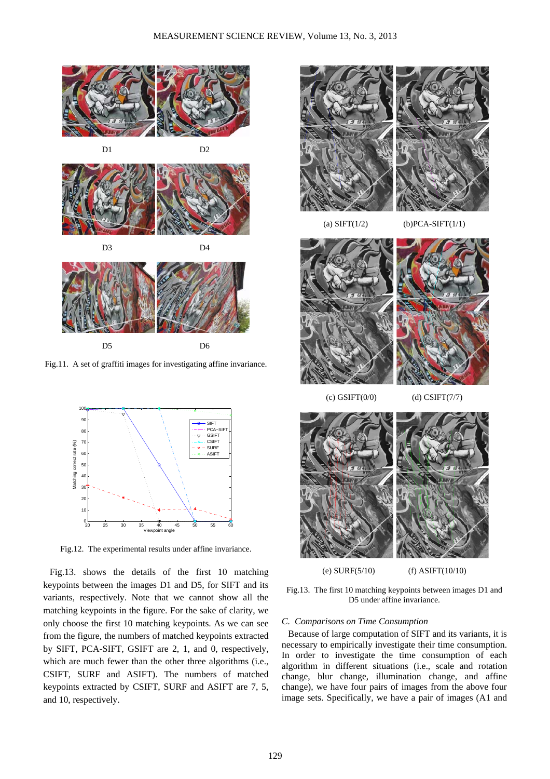

Fig.11. A set of graffiti images for investigating affine invariance.



Fig.12. The experimental results under affine invariance.

Fig.13. shows the details of the first 10 matching keypoints between the images D1 and D5, for SIFT and its variants, respectively. Note that we cannot show all the matching keypoints in the figure. For the sake of clarity, we only choose the first 10 matching keypoints. As we can see from the figure, the numbers of matched keypoints extracted by SIFT, PCA-SIFT, GSIFT are 2, 1, and 0, respectively, which are much fewer than the other three algorithms (i.e., CSIFT, SURF and ASIFT). The numbers of matched keypoints extracted by CSIFT, SURF and ASIFT are 7, 5, and 10, respectively.



(a)  $SIFT(1/2)$  (b)PCA-SIFT(1/1)



(e)  $\text{SURF}(5/10)$  (f)  $\text{ASIFT}(10/10)$ 

Fig.13. The first 10 matching keypoints between images D1 and D5 under affine invariance.

# *C. Comparisons on Time Consumption*

Because of large computation of SIFT and its variants, it is necessary to empirically investigate their time consumption. In order to investigate the time consumption of each algorithm in different situations (i.e., scale and rotation change, blur change, illumination change, and affine change), we have four pairs of images from the above four image sets. Specifically, we have a pair of images (A1 and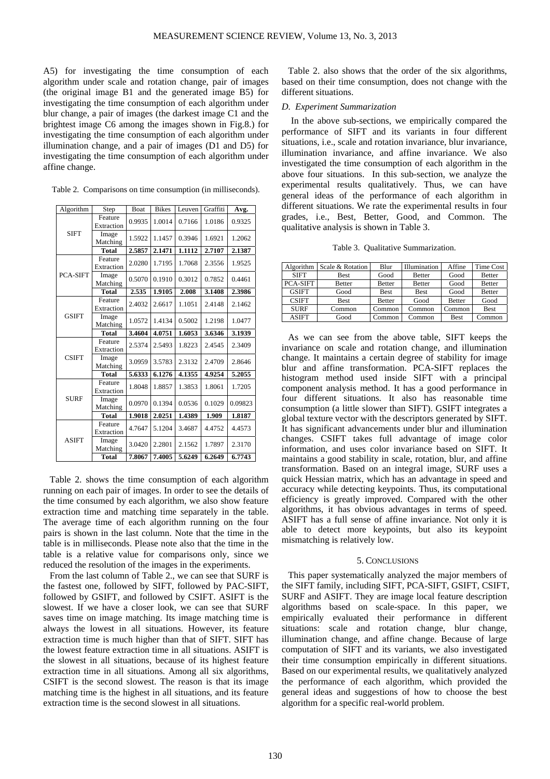A5) for investigating the time consumption of each algorithm under scale and rotation change, pair of images (the original image B1 and the generated image B5) for investigating the time consumption of each algorithm under blur change, a pair of images (the darkest image C1 and the brightest image C6 among the images shown in Fig.8.) for investigating the time consumption of each algorithm under illumination change, and a pair of images (D1 and D5) for investigating the time consumption of each algorithm under affine change.

| Algorithm    | Step                  | Boat   | <b>Bikes</b> | Leuven | Graffiti | Avg.    |
|--------------|-----------------------|--------|--------------|--------|----------|---------|
|              | Feature<br>Extraction | 0.9935 | 1.0014       | 0.7166 | 1.0186   | 0.9325  |
| <b>SIFT</b>  | Image<br>Matching     | 1.5922 | 1.1457       | 0.3946 | 1.6921   | 1.2062  |
|              | <b>Total</b>          | 2.5857 | 2.1471       | 1.1112 | 2.7107   | 2.1387  |
|              | Feature<br>Extraction | 2.0280 | 1.7195       | 1.7068 | 2.3556   | 1.9525  |
| PCA-SIFT     | Image<br>Matching     | 0.5070 | 0.1910       | 0.3012 | 0.7852   | 0.4461  |
|              | <b>Total</b>          | 2.535  | 1.9105       | 2.008  | 3.1408   | 2.3986  |
|              | Feature<br>Extraction | 2.4032 | 2.6617       | 1.1051 | 2.4148   | 2.1462  |
| <b>GSIFT</b> | Image<br>Matching     | 1.0572 | 1.4134       | 0.5002 | 1.2198   | 1.0477  |
|              | <b>Total</b>          | 3.4604 | 4.0751       | 1.6053 | 3.6346   | 3.1939  |
|              | Feature<br>Extraction | 2.5374 | 2.5493       | 1.8223 | 2.4545   | 2.3409  |
| <b>CSIFT</b> | Image<br>Matching     | 3.0959 | 3.5783       | 2.3132 | 2.4709   | 2.8646  |
|              | <b>Total</b>          | 5.6333 | 6.1276       | 4.1355 | 4.9254   | 5.2055  |
|              | Feature<br>Extraction | 1.8048 | 1.8857       | 1.3853 | 1.8061   | 1.7205  |
| <b>SURF</b>  | Image<br>Matching     | 0.0970 | 0.1394       | 0.0536 | 0.1029   | 0.09823 |
|              | <b>Total</b>          | 1.9018 | 2.0251       | 1.4389 | 1.909    | 1.8187  |
|              | Feature<br>Extraction | 4.7647 | 5.1204       | 3.4687 | 4.4752   | 4.4573  |
| <b>ASIFT</b> | Image<br>Matching     | 3.0420 | 2.2801       | 2.1562 | 1.7897   | 2.3170  |
|              | <b>Total</b>          | 7.8067 | 7.4005       | 5.6249 | 6.2649   | 6.7743  |

Table 2. Comparisons on time consumption (in milliseconds).

Table 2. shows the time consumption of each algorithm running on each pair of images. In order to see the details of the time consumed by each algorithm, we also show feature extraction time and matching time separately in the table. The average time of each algorithm running on the four pairs is shown in the last column. Note that the time in the table is in milliseconds. Please note also that the time in the table is a relative value for comparisons only, since we reduced the resolution of the images in the experiments.

From the last column of Table 2., we can see that SURF is the fastest one, followed by SIFT, followed by PAC-SIFT, followed by GSIFT, and followed by CSIFT. ASIFT is the slowest. If we have a closer look, we can see that SURF saves time on image matching. Its image matching time is always the lowest in all situations. However, its feature extraction time is much higher than that of SIFT. SIFT has the lowest feature extraction time in all situations. ASIFT is the slowest in all situations, because of its highest feature extraction time in all situations. Among all six algorithms, CSIFT is the second slowest. The reason is that its image matching time is the highest in all situations, and its feature extraction time is the second slowest in all situations.

Table 2. also shows that the order of the six algorithms, based on their time consumption, does not change with the different situations.

#### *D. Experiment Summarization*

In the above sub-sections, we empirically compared the performance of SIFT and its variants in four different situations, i.e., scale and rotation invariance, blur invariance, illumination invariance, and affine invariance. We also investigated the time consumption of each algorithm in the above four situations. In this sub-section, we analyze the experimental results qualitatively. Thus, we can have general ideas of the performance of each algorithm in different situations. We rate the experimental results in four grades, i.e., Best, Better, Good, and Common. The qualitative analysis is shown in Table 3.

|  | Table 3. Qualitative Summarization. |  |
|--|-------------------------------------|--|
|--|-------------------------------------|--|

| Algorithm    | Scale & Rotation | Blur          | Illumination  | Affine        | Time Cost     |
|--------------|------------------|---------------|---------------|---------------|---------------|
| <b>SIFT</b>  | <b>Best</b>      | Good          | <b>Better</b> | Good          | <b>Better</b> |
| PCA-SIFT     | <b>Better</b>    | <b>Better</b> | <b>Better</b> | Good          | <b>Better</b> |
| <b>GSIFT</b> | Good             | Best          | <b>Best</b>   | Good          | <b>Better</b> |
| <b>CSIFT</b> | <b>Best</b>      | <b>Better</b> | Good          | <b>Better</b> | Good          |
| <b>SURF</b>  | Common           | Common        | Common        | Common        | <b>Best</b>   |
| <b>ASIFT</b> | Good             | Common        | Common        | <b>Best</b>   | Common        |

As we can see from the above table, SIFT keeps the invariance on scale and rotation change, and illumination change. It maintains a certain degree of stability for image blur and affine transformation. PCA-SIFT replaces the histogram method used inside SIFT with a principal component analysis method. It has a good performance in four different situations. It also has reasonable time consumption (a little slower than SIFT). GSIFT integrates a global texture vector with the descriptors generated by SIFT. It has significant advancements under blur and illumination changes. CSIFT takes full advantage of image color information, and uses color invariance based on SIFT. It maintains a good stability in scale, rotation, blur, and affine transformation. Based on an integral image, SURF uses a quick Hessian matrix, which has an advantage in speed and accuracy while detecting keypoints. Thus, its computational efficiency is greatly improved. Compared with the other algorithms, it has obvious advantages in terms of speed. ASIFT has a full sense of affine invariance. Not only it is able to detect more keypoints, but also its keypoint mismatching is relatively low.

# 5. CONCLUSIONS

This paper systematically analyzed the major members of the SIFT family, including SIFT, PCA-SIFT, GSIFT, CSIFT, SURF and ASIFT. They are image local feature description algorithms based on scale-space. In this paper, we empirically evaluated their performance in different situations: scale and rotation change, blur change, illumination change, and affine change. Because of large computation of SIFT and its variants, we also investigated their time consumption empirically in different situations. Based on our experimental results, we qualitatively analyzed the performance of each algorithm, which provided the general ideas and suggestions of how to choose the best algorithm for a specific real-world problem.